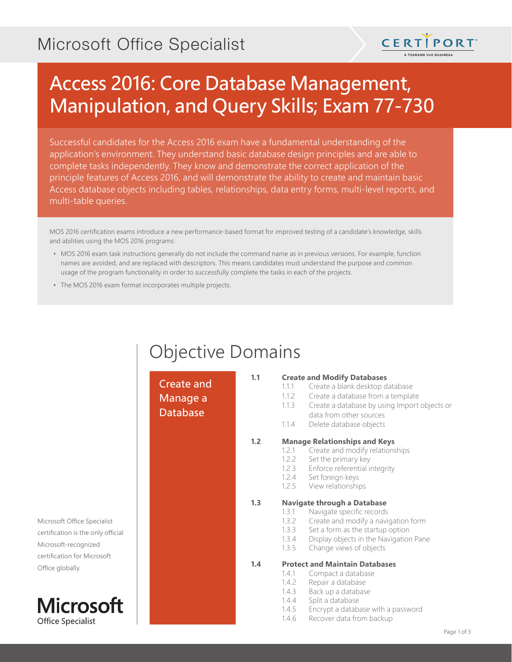# Microsoft Office Specialist



Successful candidates for the Access 2016 exam have a fundamental understanding of the application's environment. They understand basic database design principles and are able to complete tasks independently. They know and demonstrate the correct application of the principle features of Access 2016, and will demonstrate the ability to create and maintain basic Access database objects including tables, relationships, data entry forms, multi-level reports, and multi-table queries.

MOS 2016 certification exams introduce a new performance-based format for improved testing of a candidate's knowledge, skills and abilities using the MOS 2016 programs:

- MOS 2016 exam task instructions generally do not include the command name as in previous versions. For example, function names are avoided, and are replaced with descriptors. This means candidates must understand the purpose and common usage of the program functionality in order to successfully complete the tasks in each of the projects.
- The MOS 2016 exam format incorporates multiple projects.

Create and

Manage a Database

#### **1.1 Create and Modify Databases**

- 1.1.1 Create a blank desktop database
- 1.1.2 Create a database from a template
- 1.1.3 Create a database by using Import objects or

CERT

**PORT** 

A PEARSON VUE BUSINES

- data from other sources
- 1.1.4 Delete database objects

### **1.2 Manage Relationships and Keys**

- 1.2.1 Create and modify relationships
- 1.2.2 Set the primary key
- 1.2.3 Enforce referential integrity
- 1.2.4 Set foreign keys
- 1.2.5 View relationships

#### **1.3 Navigate through a Database**

- 
- 1.3.1 Navigate specific records<br>1.3.2 Create and modify a navi Create and modify a navigation form
- 1.3.3 Set a form as the startup option
- 1.3.4 Display objects in the Navigation Pane
- 1.3.5 Change views of objects

### **1.4 Protect and Maintain Databases**

- 1.4.1 Compact a database
- 1.4.2 Repair a database
- 1.4.3 Back up a database
- 1.4.4 Split a database
- 1.4.5 Encrypt a database with a password
- 1.4.6 Recover data from backup

Microsoft Office Specialist certification is the only official Microsoft-recognized certification for Microsoft Office globally.

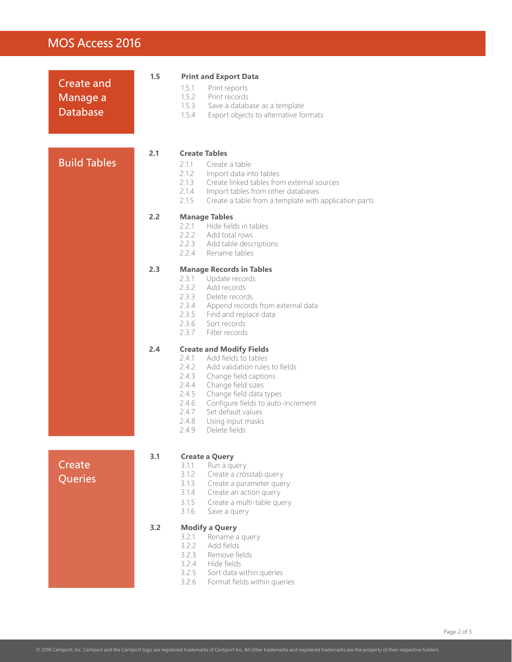# MOS Access 2016

| <b>Create and</b><br>Manage a<br><b>Database</b> | 1.5 | <b>Print and Export Data</b><br>1.5.1<br>Print reports<br>1.5.2<br>Print records<br>1.5.3<br>Save a database as a template<br>1.5.4<br>Export objects to alternative formats                                                                                                                                                                           |
|--------------------------------------------------|-----|--------------------------------------------------------------------------------------------------------------------------------------------------------------------------------------------------------------------------------------------------------------------------------------------------------------------------------------------------------|
| <b>Build Tables</b>                              | 2.1 | <b>Create Tables</b><br>2.1.1<br>Create a table<br>2.1.2<br>Import data into tables<br>2.1.3<br>Create linked tables from external sources<br>2.1.4<br>Import tables from other databases<br>2.1.5<br>Create a table from a template with application parts                                                                                            |
|                                                  | 2.2 | <b>Manage Tables</b><br>2.2.1<br>Hide fields in tables<br>2.2.2 Add total rows<br>2.2.3 Add table descriptions<br>2.2.4 Rename tables                                                                                                                                                                                                                  |
|                                                  | 2.3 | <b>Manage Records in Tables</b><br>2.3.1<br>Update records<br>2.3.2<br>Add records<br>2.3.3<br>Delete records<br>2.3.4<br>Append records from external data<br>2.3.5 Find and replace data<br>Sort records<br>2.3.6<br>2.3.7<br>Filter records                                                                                                         |
|                                                  | 2.4 | <b>Create and Modify Fields</b><br>Add fields to tables<br>2.4.1<br>2.4.2<br>Add validation rules to fields<br>2.4.3<br>Change field captions<br>2.4.4<br>Change field sizes<br>2.4.5<br>Change field data types<br>2.4.6<br>Configure fields to auto-increment<br>2.4.7<br>Set default values<br>2.4.8<br>Using input masks<br>2.4.9<br>Delete fields |
| Create<br>Queries                                | 3.1 | <b>Create a Query</b><br>Run a query<br>3.1.1<br>3.1.2<br>Create a crosstab query<br>3.1.3<br>Create a parameter query<br>3.1.4<br>Create an action query<br>3.1.5<br>Create a multi-table query<br>3.1.6<br>Save a query                                                                                                                              |
|                                                  | 3.2 | <b>Modify a Query</b><br>3.2.1<br>Rename a query<br>3.2.2<br>Add fields<br>3.2.3<br>Remove fields<br>3.2.4<br>Hide fields<br>3.2.5<br>Sort data within queries<br>3.2.6<br>Format fields within queries                                                                                                                                                |